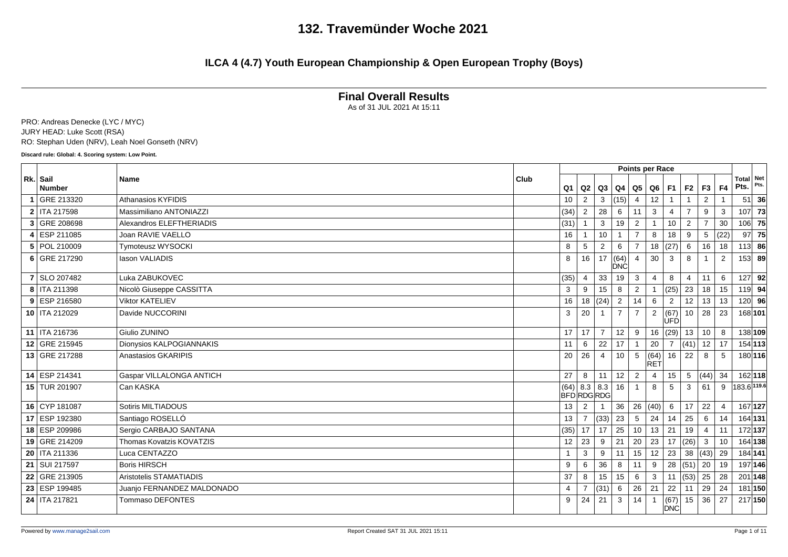### **ILCA 4 (4.7) Youth European Championship & Open European Trophy (Boys)**

### **Final Overall Results**

As of 31 JUL 2021 At 15:11

PRO: Andreas Denecke (LYC / MYC) JURY HEAD: Luke Scott (RSA) RO: Stephan Uden (NRV), Leah Noel Gonseth (NRV)

**Discard rule: Global: 4. Scoring system: Low Point.**

|                           |                            | <b>Points per Race</b><br>Total Net<br>Club<br>Pts.<br>F <sub>4</sub><br>Q <sub>1</sub><br> Q3 Q4 Q5 Q6 F1<br>F <sub>2</sub><br>F3<br>Q2 |                |                        |                |                |                 |                |                    |                |                 |                |             |          |  |
|---------------------------|----------------------------|------------------------------------------------------------------------------------------------------------------------------------------|----------------|------------------------|----------------|----------------|-----------------|----------------|--------------------|----------------|-----------------|----------------|-------------|----------|--|
| Rk. Sail<br><b>Number</b> | <b>Name</b>                |                                                                                                                                          |                |                        |                |                |                 |                |                    |                |                 |                |             | Pts.     |  |
| GRE 213320                | <b>Athanasios KYFIDIS</b>  |                                                                                                                                          | 10             | 2                      | 3              | (15)           | $\overline{4}$  | 12             |                    |                | 2               |                | 51          | 36       |  |
| 2   ITA 217598            | Massimiliano ANTONIAZZI    |                                                                                                                                          | (34)           | 2                      | 28             | 6              | 11              | 3              | 4                  | $\overline{7}$ | 9               | 3              | 107         | 73       |  |
| 3 GRE 208698              | Alexandros ELEFTHERIADIS   |                                                                                                                                          | (31)           |                        | 3              | 19             | $\overline{2}$  |                | 10                 | 2              | $\overline{7}$  | 30             |             | $106$ 75 |  |
| ESP 211085                | Joan RAVIE VAELLO          |                                                                                                                                          | 16             |                        | 10             |                |                 | 8              | 18                 | 9              | 5               | (22)           | 97          | 75       |  |
| 5 POL 210009              | <b>Tymoteusz WYSOCKI</b>   |                                                                                                                                          | 8              | 5                      | 2              | 6              | $\overline{7}$  |                | 18   (27)          | 6              | 16              | 18             |             | $113$ 86 |  |
| 6 GRE 217290              | lason VALIADIS             |                                                                                                                                          | 8              | 16                     | 17             | (64)<br>DNC    |                 | 30             | 3                  | 8              |                 | 2              |             | $153$ 89 |  |
| 7 SLO 207482              | Luka ZABUKOVEC             |                                                                                                                                          | (35)           | 4                      | 33             | 19             | 3               |                | 8                  | $\overline{4}$ | 11              | 6              | 127         | 92       |  |
| 8   ITA 211398            | Nicolò Giuseppe CASSITTA   |                                                                                                                                          | 3              | 9                      | 15             | 8              | $\overline{2}$  |                | (25)               | 23             | 18              | 15             |             | $119$ 94 |  |
| 9 ESP 216580              | <b>Viktor KATELIEV</b>     |                                                                                                                                          | 16             |                        | 18   (24)      | 2              | 14              | 6              | $\overline{2}$     | 12             | 13              | 13             |             | 120 96   |  |
| 10   ITA 212029           | Davide NUCCORINI           |                                                                                                                                          | 3              | 20                     |                | $\overline{7}$ | $\overline{7}$  | $\overline{2}$ | (67)<br><b>ÚFD</b> | 10             | 28              | 23             |             | 168 101  |  |
| 11 ITA 216736             | Giulio ZUNINO              |                                                                                                                                          | 17             | 17                     | $\overline{7}$ | 12             | 9               |                | 16   (29)          | 13             | 10 <sup>1</sup> | 8              |             | 138 109  |  |
| 12 GRE 215945             | Dionysios KALPOGIANNAKIS   |                                                                                                                                          | 11             | 6                      | 22             | 17             |                 | 20             | 7                  | (41)           | $12$ 17         |                |             | 154 113  |  |
| 13 GRE 217288             | Anastasios GKARIPIS        |                                                                                                                                          | 20             | 26                     | $\overline{4}$ | 10             | 5               | (64)<br>IRET   | 16                 | 22             | 8               | -5             |             | 180 116  |  |
| 14 ESP 214341             | Gaspar VILLALONGA ANTICH   |                                                                                                                                          | 27             | 8                      | 11             | 12             | $\overline{2}$  | 4              | 15                 | 5              | (44)            | 34             |             | 162 118  |  |
| 15 TUR 201907             | Can KASKA                  |                                                                                                                                          | (64)           | 8.3   8.3<br>BFDRDGRDG |                | 16             | $\mathbf{1}$    | 8              | 5                  | 3              | 61              | 9              | 183.6 119.6 |          |  |
| 16 CYP 181087             | Sotiris MILTIADOUS         |                                                                                                                                          | 13             | $\overline{2}$         |                | 36             |                 | 26 (40)        | 6                  | 17             | 22              | $\overline{4}$ |             | 167 127  |  |
| 17 ESP 192380             | Santiago ROSELLÓ           |                                                                                                                                          | 13             |                        | (33)           | 23             | 5               | 24             | 14                 | 25             | 6               | 14             |             | 164 131  |  |
| 18 ESP 209986             | Sergio CARBAJO SANTANA     |                                                                                                                                          | (35)           | 17                     | 17             | 25             | 10 <sup>1</sup> | $13 \mid 21$   |                    | 19             | $\overline{4}$  | 11             |             | 172 137  |  |
| 19 GRE 214209             | Thomas Kovatzis KOVATZIS   |                                                                                                                                          | 12             | 23                     | 9              | 21             | 20              | 23             | 17                 | (26)           | 3               | 10             |             | 164 138  |  |
| 20   ITA 211336           | Luca CENTAZZO              |                                                                                                                                          | 1              | 3                      | 9              | 11             | 15              | 12             | 23                 | 38             | (43)            | 29             |             | 184 141  |  |
| 21   SUI 217597           | <b>Boris HIRSCH</b>        |                                                                                                                                          | 9              | 6                      | 36             | 8              | 11              | 9              | 28                 | (51)           | 20              | 19             |             | 197 146  |  |
| 22 GRE 213905             | Aristotelis STAMATIADIS    |                                                                                                                                          | 37             | 8                      | 15             | 15             | 6               | 3              | 11                 | (53)           | 25              | 28             |             | 201 148  |  |
| 23 ESP 199485             | Juanjo FERNANDEZ MALDONADO |                                                                                                                                          | $\overline{4}$ | $\overline{7}$         | (31)           | 6              | 26              | 21             | 22                 | 11             | 29              | 24             |             | 181 150  |  |
| 24   ITA 217821           | <b>Tommaso DEFONTES</b>    |                                                                                                                                          | 9              | 24                     | 21             | 3              | 14              |                | (67)<br>DNC        | 15             | 36              | 27             |             | 217 150  |  |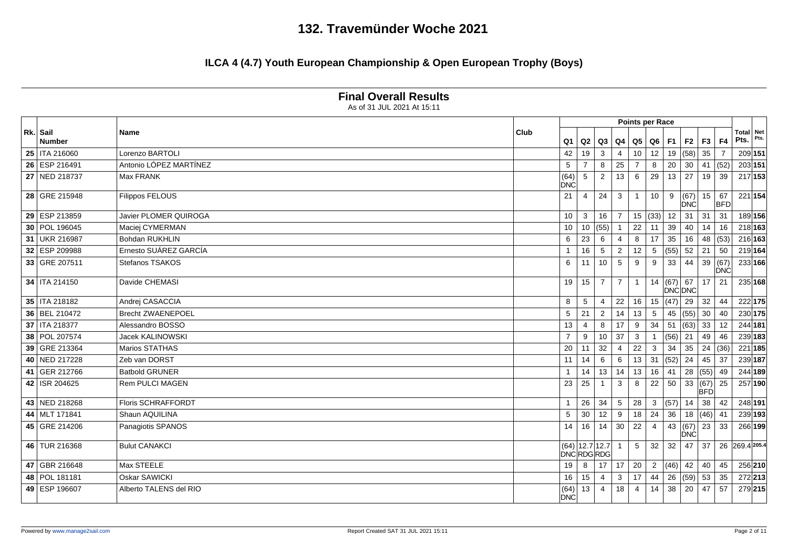### **ILCA 4 (4.7) Youth European Championship & Open European Trophy (Boys)**

|                           |                           |      | <b>Points per Race</b><br>Net<br><b>Total</b> |                                     |                |                |                 |                |       |                      |                    |                  |                |         |  |  |
|---------------------------|---------------------------|------|-----------------------------------------------|-------------------------------------|----------------|----------------|-----------------|----------------|-------|----------------------|--------------------|------------------|----------------|---------|--|--|
| Rk. Sail<br><b>Number</b> | <b>Name</b>               | Club | Q <sub>1</sub>                                | Q2                                  | Q3             | Q4             | Q5              |                | Q6 F1 | F <sub>2</sub>       | F3                 | F4               | Pts.           | Pts.    |  |  |
| 25   ITA 216060           | Lorenzo BARTOLI           |      | 42                                            | 19                                  | 3              | $\overline{4}$ | 10 <sup>°</sup> | 12             | 19    | (58)                 | 35                 | $\overline{7}$   |                | 209 151 |  |  |
| 26 ESP 216491             | Antonio LÓPEZ MARTÍNEZ    |      | 5                                             | $\overline{7}$                      | 8              | 25             | $\overline{7}$  | 8              | 20    | 30                   |                    | 41 $(52)$        |                | 203 151 |  |  |
| 27 NED 218737             | <b>Max FRANK</b>          |      | (64)<br><b>DNC</b>                            | 5                                   | $\overline{2}$ | 13             | 6               | 29             | 13    | 27                   | 19                 | 39               |                | 217 153 |  |  |
| 28 GRE 215948             | <b>Filippos FELOUS</b>    |      | 21                                            | $\overline{4}$                      | 24             | 3              | $\mathbf{1}$    | 10             | 9     | (67)<br>DNC          | 15                 | 67<br><b>BFD</b> |                | 221 154 |  |  |
| 29 ESP 213859             | Javier PLOMER QUIROGA     |      | 10                                            | 3                                   | 16             | $\overline{7}$ |                 | 15  (33)   12  |       | 31                   | 31                 | 31               |                | 189 156 |  |  |
| 30 POL 196045             | Maciej CYMERMAN           |      | 10                                            | 10   (55)                           |                |                | 22              | 11             | 39    | 40                   | 14                 | 16               |                | 218 163 |  |  |
| 31 UKR 216987             | <b>Bohdan RUKHLIN</b>     |      | 6                                             | 23                                  | 6              |                | 8               | 17             | 35    | 16                   |                    | 48 (53)          |                | 216 163 |  |  |
| 32 ESP 209988             | Ernesto SUÁREZ GARCÍA     |      | $\overline{1}$                                | 16                                  | 5              | $\overline{2}$ | 12              | 5              | (55)  | 52                   | 21                 | 50               |                | 219 164 |  |  |
| 33 GRE 207511             | Stefanos TSAKOS           |      | 6                                             | 11                                  | 10             | 5              | 9               | 9              | 33    | 44                   | 39(67)             | <b>DNC</b>       |                | 233 166 |  |  |
| 34   ITA 214150           | Davide CHEMASI            |      | 19                                            | 15                                  | $\overline{7}$ | $\overline{7}$ | $\mathbf{1}$    | 14             | (67)  | 67<br><b>DNC DNC</b> | 17                 | 21               |                | 235 168 |  |  |
| 35   ITA 218182           | Andrej CASACCIA           |      | 8                                             | 5                                   | $\overline{4}$ | 22             | 16              | 15             | (47)  | 29                   | 32                 | 44               |                | 222 175 |  |  |
| 36 BEL 210472             | <b>Brecht ZWAENEPOEL</b>  |      | 5                                             | 21                                  | 2              | 14             | 13              | 5              | 45    | (55)                 | 30                 | 40               |                | 230 175 |  |  |
| 37   ITA 218377           | Alessandro BOSSO          |      | 13                                            | $\overline{4}$                      | 8              | 17             | 9               | 34             | 51    | (63)                 | 33                 | 12               |                | 244 181 |  |  |
| 38 POL 207574             | Jacek KALINOWSKI          |      | $\overline{7}$                                | 9                                   | 10             | 37             | 3               |                | (56)  | 21                   | 49                 | 46               |                | 239 183 |  |  |
| 39 GRE 213364             | Marios STATHAS            |      | 20                                            | 11                                  | 32             | $\overline{4}$ | 22              | 3              | 34    | 35                   | $\sqrt{24}$ (36)   |                  |                | 221 185 |  |  |
| 40 NED 217228             | Zeb van DORST             |      | 11                                            | 14                                  | 6              | 6              | 13              | 31             | (52)  | 24                   | 45                 | 37               |                | 239 187 |  |  |
| 41 GER 212766             | <b>Batbold GRUNER</b>     |      |                                               | 14                                  | 13             | 14             | 13              | 16             | 41    | 28                   | (55)               | 49               |                | 244 189 |  |  |
| 42   ISR 204625           | Rem PULCI MAGEN           |      | 23                                            | 25                                  | $\mathbf{1}$   | 3              | 8               | 22             | 50    | 33                   | (67)<br><b>BFD</b> | 25               |                | 257 190 |  |  |
| 43 NED 218268             | <b>Floris SCHRAFFORDT</b> |      | $\overline{1}$                                | 26                                  | 34             | 5              | 28              | 3              | (57)  | 14                   | 38                 | 42               |                | 248 191 |  |  |
| 44 MLT 171841             | Shaun AQUILINA            |      | 5                                             | 30                                  | 12             | 9              | 18              | 24             | 36    | 18                   | (46)               | -41              |                | 239 193 |  |  |
| 45 GRE 214206             | Panagiotis SPANOS         |      | 14                                            | 16                                  | 14             | 30             | 22              | $\overline{4}$ | 43    | (67)<br>DNC          | 23                 | 33               |                | 266 199 |  |  |
| 46 TUR 216368             | <b>Bulut CANAKCI</b>      |      |                                               | $(64)$   12.7   12.7  <br>DNCRDGRDG |                |                | 5               | 32             | 32    | 47                   | 37                 |                  | 26 269.4 205.4 |         |  |  |
| 47 GBR 216648             | Max STEELE                |      | 19                                            | 8                                   | 17             | 17             | 20              | $\overline{2}$ | (46)  | 42                   | 40                 | 45               |                | 256 210 |  |  |
| 48   POL 181181           | Oskar SAWICKI             |      | 16                                            | 15                                  | $\overline{4}$ | 3              | 17              | 44             | 26    | (59)                 | 53                 | 35               |                | 272 213 |  |  |
| 49 ESP 196607             | Alberto TALENS del RIO    |      | (64)<br><b>DNC</b>                            | 13                                  | $\overline{4}$ | 18             | 4               | 14             | 38    | 20                   | 47                 | 57               |                | 279 215 |  |  |

#### **Final Overall Results**

As of 31 JUL 2021 At 15:11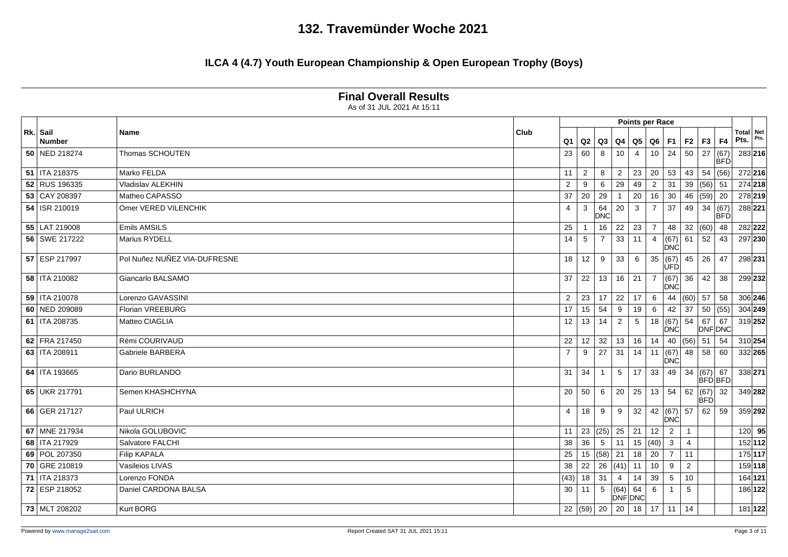|                           | As of 31 JUL 2021 At 15:11   |             |                |                 |                 |                |                        |                |                    |                |                             |            |                          |      |
|---------------------------|------------------------------|-------------|----------------|-----------------|-----------------|----------------|------------------------|----------------|--------------------|----------------|-----------------------------|------------|--------------------------|------|
|                           |                              |             |                |                 |                 |                | <b>Points per Race</b> |                |                    |                |                             |            |                          |      |
| Rk. Sail<br><b>Number</b> | Name                         | <b>Club</b> | Q <sub>1</sub> |                 | $Q2$ $Q3$       | Q4             | Q <sub>5</sub>         | Q6             | F1                 | F <sub>2</sub> | $F3$ $F4$                   |            | <b>Total Net</b><br>Pts. | Pts. |
| 50 NED 218274             | Thomas SCHOUTEN              |             | 23             | 60              | 8               | 10             | $\overline{4}$         | 10             | 24                 | 50             | 27 (67)                     | <b>BFD</b> | 283 216                  |      |
| 51   ITA 218375           | Marko FELDA                  |             | 11             | $\overline{2}$  | 8               | $\overline{2}$ | 23                     | 20             | 53                 | 43             | 54   (56)                   |            | 272 216                  |      |
| 52 RUS 196335             | Vladislav ALEKHIN            |             | 2              | 9               | 6               | 29             | 49                     | $\overline{2}$ | 31                 | 39             | $(56)$ 51                   |            | 274 218                  |      |
| 53 CAY 208397             | Matheo CAPASSO               |             | 37             | 20              | 29              | -1             | 20                     | 16             | 30                 | 46             | $(59)$ 20                   |            | 278 219                  |      |
| 54   ISR 210019           | Omer VERED VILENCHIK         |             | $\overline{4}$ | 3               | 64<br>DNC       | 20             | 3                      | $\overline{7}$ | 37                 | 49             | 34   (67)                   | <b>BFD</b> | 288 221                  |      |
| 55 LAT 219008             | Emils AMSILS                 |             | 25             |                 | 16              | 22             | 23                     | $\overline{7}$ | 48                 | 32             | $(60)$ 48                   |            | 282 222                  |      |
| 56 SWE 217222             | <b>Marius RYDELL</b>         |             | 14             | 5               | $\overline{7}$  | 33             | 11                     | $\overline{4}$ | (67)<br><b>DNC</b> | 61             | 52                          | 43         | 297 230                  |      |
| 57 ESP 217997             | Pol Nuñez NUÑEZ VIA-DUFRESNE |             | 18             | 12              | 9               | 33             | 6                      | 35             | (67)<br>UFD        | 45             | 26                          | 47         | 298 231                  |      |
| 58   ITA 210082           | Giancarlo BALSAMO            |             | 37             | 22              | 13              | 16             | 21                     | $\overline{7}$ | (67)<br><b>DNC</b> | 36             | 42                          | 38         | 299 232                  |      |
| 59   ITA 210078           | Lorenzo GAVASSINI            |             | $\overline{2}$ | $23 \mid$       | 17              | 22             | 17                     | 6              | 44                 | (60)           | $57 \mid$                   | 58         | 306 246                  |      |
| 60 NED 209089             | Florian VREEBURG             |             | 17             | 15              | 54              | 9              | 19                     | 6              | 42                 | 37             | 50   (55)                   |            | 304 249                  |      |
| 61   ITA 208735           | Matteo CIAGLIA               |             | 12             | 13 <sup>1</sup> | 14              | $\overline{2}$ | 5                      | 18             | (67)<br><b>DNC</b> | 54             | $67$ 67<br>DNF DNC          |            | 319 252                  |      |
| 62 FRA 217450             | Rémi COURIVAUD               |             | 22             | 12              | 32              | 13             | 16                     | 14             | 40                 | (56)           | $51 \mid 54$                |            | 310 254                  |      |
| 63   ITA 208911           | Gabriele BARBERA             |             | $\overline{7}$ | 9               | 27              | 31             | 14                     | 11             | (67)<br><b>DNC</b> | 48             | 58                          | 60         | 332 265                  |      |
| 64   ITA 193665           | Dario BURLANDO               |             | 31             | 34              | $\mathbf{1}$    | 5              | 17                     | 33             | 49                 | 34             | $(67)$ 67<br><b>BFD</b> BFD |            | 338 271                  |      |
| 65 UKR 217791             | Semen KHASHCHYNA             |             | 20             | 50              | 6               | 20             | 25                     | 13             | 54                 | 62             | (67) 32<br><b>BFD</b>       |            | 349 282                  |      |
| 66 GER 217127             | Paul ULRICH                  |             | $\overline{4}$ | 18              | 9               | 9              | 32                     | 42             | (67)<br><b>DNC</b> | 57             | 62                          | 59         | 359 292                  |      |
| 67 MNE 217934             | Nikola GOLUBOVIC             |             | 11             |                 | 23   (25)       | 25             | 21                     | 12             | $\overline{2}$     | $\overline{1}$ |                             |            | $120$ 95                 |      |
| 68   ITA 217929           | Salvatore FALCHI             |             | 38             | 36              | $5\phantom{.0}$ | 11             |                        | 15  (40)       | $\mathbf{3}$       | $\overline{4}$ |                             |            | 152 112                  |      |
| 69 POL 207350             | Filip KAPALA                 |             | 25             |                 | 15   (58)       | 21             | 18                     | 20             | $\overline{7}$     | 11             |                             |            | 175 117                  |      |
| 70 GRE 210819             | Vasileios LIVAS              |             | 38             |                 | $22 \mid 26$    | (41)           | 11                     | 10             | -9                 | 2              |                             |            | 159 118                  |      |
| 71   ITA 218373           | Lorenzo FONDA                |             | (43)           | $18$ 31         |                 | $\overline{4}$ | 14                     | 39             | 5                  | 10             |                             |            | 164 121                  |      |
| 72 ESP 218052             | Daniel CARDONA BALSA         |             | 30             | 11 I            | 5               | (64)           | 64<br><b>DNFDNC</b>    | 6              | -1                 | 5              |                             |            | 186 122                  |      |
| 73 MLT 208202             | Kurt BORG                    |             |                |                 | 22  (59)   20   | 20             | 18                     | 17             | $\vert$ 11         | 14             |                             |            | 181 122                  |      |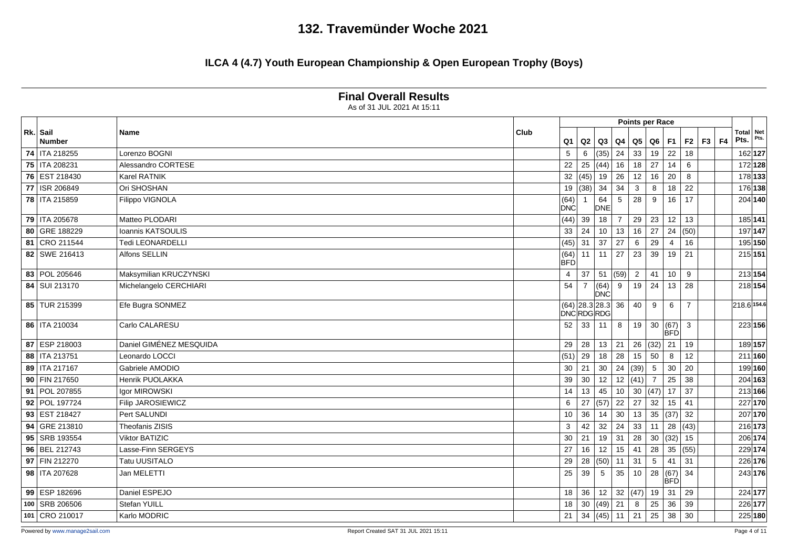|                    | As of 31 JUL 2021 At 15:11 |      |                    |                  |                    |                 |                 |                        |                    |                |           |                          |         |
|--------------------|----------------------------|------|--------------------|------------------|--------------------|-----------------|-----------------|------------------------|--------------------|----------------|-----------|--------------------------|---------|
|                    |                            |      |                    |                  |                    |                 |                 | <b>Points per Race</b> |                    |                |           |                          |         |
| Rk. Sail<br>Number | <b>Name</b>                | Club | Q <sub>1</sub>     |                  | $Q2$ $Q3$          | Q4              | Q5              | $Q6$ F1                |                    | F <sub>2</sub> | $F3$ $F4$ | <b>Total Net</b><br>Pts. |         |
| 74   ITA 218255    | Lorenzo BOGNI              |      | 5                  | 6                | (35)               | 24              | 33              | 19                     | 22                 | 18             |           | 162 127                  |         |
| 75   ITA 208231    | Alessandro CORTESE         |      | 22                 | 25               | (44)               | 16              | 18              | 27                     | 14                 | 6              |           | 172 128                  |         |
| 76 EST 218430      | <b>Karel RATNIK</b>        |      |                    | 32 (45) 19       |                    | 26              | 12              | 16                     | 20                 | 8              |           | 178 133                  |         |
| 77   ISR 206849    | Ori SHOSHAN                |      |                    | 19  (38)   34    |                    | $\overline{34}$ | $\mathbf{3}$    | 8                      | 18                 | 22             |           | 176 138                  |         |
| 78   ITA 215859    | Filippo VIGNOLA            |      | (64)<br><b>DNC</b> |                  | 64<br>DNE          | 5               | 28              | 9                      | 16                 | 17             |           | 204 140                  |         |
| 79   ITA 205678    | Matteo PLODARI             |      | (44)               | 39               | 18                 | $\overline{7}$  | 29              | 23                     | 12                 | 13             |           | 185 141                  |         |
| 80 GRE 188229      | Ioannis KATSOULIS          |      | 33                 | 24               | 10                 | 13              | 16              | 27                     | 24                 | (50)           |           | 197 147                  |         |
| 81 CRO 211544      | Tedi LEONARDELLI           |      | (45)               | $31 \mid 37$     |                    | 27              | $6\overline{6}$ | 29                     | -4                 | 16             |           | 195 150                  |         |
| 82 SWE 216413      | Alfons SELLIN              |      | (64)<br><b>BFD</b> |                  | $11$ 11            | 27              | 23              | 39                     | 19                 | 21             |           | 215 151                  |         |
| 83   POL 205646    | Maksymilian KRUCZYNSKI     |      | $\overline{4}$     | $37 \mid 51$     |                    | (59)            | $\overline{2}$  | 41                     | 10                 | 9              |           | 213 154                  |         |
| 84   SUI 213170    | Michelangelo CERCHIARI     |      | 54                 | $\overline{7}$   | (64)<br><b>DNC</b> | 9               | 19              | 24                     | 13                 | 28             |           | 218 154                  |         |
| 85 TUR 215399      | Efe Bugra SONMEZ           |      |                    | <b>DNCRDGRDG</b> | $(64)$ 28.3 28.3   | 36              | 40              | 9                      | 6                  | $\overline{7}$ |           | 218.6 154.6              |         |
| 86   ITA 210034    | Carlo CALARESU             |      | 52                 | $33 \mid 11$     |                    | 8               | 19              | 30                     | (67)<br>BFD        | $\mathbf{3}$   |           | 223 156                  |         |
| 87 ESP 218003      | Daniel GIMÉNEZ MESQUIDA    |      | 29                 | 28               | 13                 | 21              |                 | 26  (32)  21           |                    | 19             |           | 189 157                  |         |
| 88   ITA 213751    | Leonardo LOCCI             |      | (51)               | 29               | 18                 | 28              | 15              | 50                     | - 8                | 12             |           | 211 160                  |         |
| 89   ITA 217167    | Gabriele AMODIO            |      | 30                 |                  | $21 \mid 30$       | 24              | (39)            | $5\phantom{.0}$        | 30                 | 20             |           | 199 160                  |         |
| 90 FIN 217650      | Henrik PUOLAKKA            |      | 39                 | 30               | 12                 | 12              | (41)            | $\overline{7}$         | 25                 | 38             |           | 204 163                  |         |
| 91   POL 207855    | Igor MIROWSKI              |      | 14                 | 13               | 45                 | 10              |                 | 30 $ (47)$ 17          |                    | 37             |           | 213 166                  |         |
| 92 POL 197724      | Filip JAROSIEWICZ          |      | 6                  |                  | 27   (57)          | $\overline{22}$ | 27              | 32                     | 15                 | 41             |           | 227 170                  |         |
| 93 EST 218427      | Pert SALUNDI               |      | 10                 | 36               | 14                 | 30              | 13              | 35                     | (37)               | 32             |           | 207 170                  |         |
| 94 GRE 213810      | Theofanis ZISIS            |      | 3                  | 42               | 32                 | 24              | 33              | 11                     | 28                 | (43)           |           | 216 173                  |         |
| 95 SRB 193554      | <b>Viktor BATIZIC</b>      |      | 30                 | 21               | 19                 | 31              | 28              | 30                     | (32)               | 15             |           | 206 174                  |         |
| 96 BEL 212743      | Lasse-Finn SERGEYS         |      | 27                 | 16               | 12                 | 15              | 41              | 28                     | 35                 | (55)           |           | 229 174                  |         |
| 97 FIN 212270      | <b>Tatu UUSITALO</b>       |      | 29                 |                  | 28   (50)          | 11              | 31              | $5\phantom{.0}$        | 41                 | 31             |           | 226 176                  |         |
| 98   ITA 207628    | Jan MELETTI                |      | 25                 | 39               | $5\overline{5}$    | 35              | 10              | 28                     | (67)<br><b>BFD</b> | 34             |           | 243 176                  |         |
| 99 ESP 182696      | Daniel ESPEJO              |      | 18                 | 36               | 12                 | 32              | (47)            | 19                     | 31                 | 29             |           | 224 177                  |         |
| 100 SRB 206506     | Stefan YUILL               |      | 18                 |                  | 30 $(49)$          | 21              | 8               | 25                     | 36                 | 39             |           | 226 177                  |         |
| 101 CRO 210017     | Karlo MODRIC               |      | 21                 |                  | 34   (45)          | 11              | $\sqrt{21}$     | 25                     | 38                 | 30             |           |                          | 225 180 |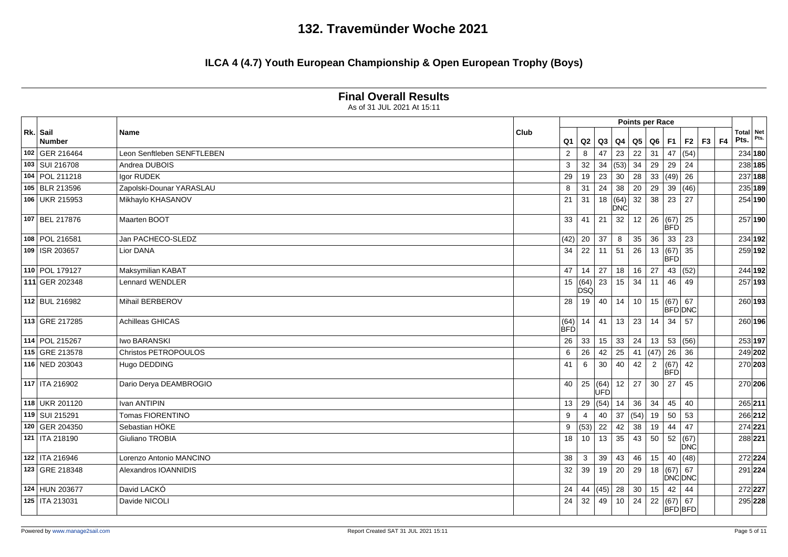|                           |                            |      | <b>Points per Race</b><br>Total Net<br>Pts.<br> F3 F4<br>F2<br>F1<br>Q <sub>1</sub><br>$Q2$ $Q3$<br>Q4<br>Q5   Q6  <br>47<br>$\overline{47}$<br>(54)<br>$\overline{2}$<br>23<br>22<br>31<br>234 180<br>8<br>(53)<br>34<br>$29 \mid 29$<br>3<br>32<br>34<br>24<br>238 185<br>$\overline{28}$<br>(49)<br>23<br>30<br>33<br>26<br>237 188<br>29<br>19<br>24<br>20<br>29<br>31<br>38<br>(46)<br>235 189<br>39<br>8<br>$\overline{18}$<br>31<br>(64)<br>32<br>38<br>27<br>254 190<br>21<br>23<br>DNĆ<br>26   (67)<br>257 190<br>33<br>41<br>21<br>32<br>12<br>25<br><b>BFD</b><br>$\overline{23}$<br>37<br>36<br>33<br>234 192<br>20<br>35<br>(42)<br>8<br>$\overline{22}$<br>26<br>13   (67)<br>259 192<br>11<br>51<br>35<br>34<br><b>BFD</b><br>27<br>18<br>16<br>27<br>(52)<br>244 192<br>47<br>14<br>43<br>$(64)$ 23<br>257 193<br>15<br>15<br>34<br>46<br>11<br>49<br>DSQ<br>260 193<br>28<br>40<br>14<br>10<br>15   (67)   67<br>19<br><b>BFD DNC</b><br>$14$ 41<br>23<br>260 196<br>13<br>14<br>34<br>57<br>(64)<br><b>BFD</b><br>33<br>24<br>(56)<br>253 197<br>26<br>33<br>15 <sup>1</sup><br>13 |                                            |    |      |                |                                  |             |  |  |         |         |  |  |
|---------------------------|----------------------------|------|------------------------------------------------------------------------------------------------------------------------------------------------------------------------------------------------------------------------------------------------------------------------------------------------------------------------------------------------------------------------------------------------------------------------------------------------------------------------------------------------------------------------------------------------------------------------------------------------------------------------------------------------------------------------------------------------------------------------------------------------------------------------------------------------------------------------------------------------------------------------------------------------------------------------------------------------------------------------------------------------------------------------------------------------------------------------------------------------------|--------------------------------------------|----|------|----------------|----------------------------------|-------------|--|--|---------|---------|--|--|
| Rk. Sail<br><b>Number</b> | Name                       | Club |                                                                                                                                                                                                                                                                                                                                                                                                                                                                                                                                                                                                                                                                                                                                                                                                                                                                                                                                                                                                                                                                                                      |                                            |    |      |                |                                  |             |  |  |         |         |  |  |
| 102 GER 216464            | Leon Senftleben SENFTLEBEN |      |                                                                                                                                                                                                                                                                                                                                                                                                                                                                                                                                                                                                                                                                                                                                                                                                                                                                                                                                                                                                                                                                                                      |                                            |    |      |                |                                  |             |  |  |         |         |  |  |
| 103   SUI 216708          | Andrea DUBOIS              |      |                                                                                                                                                                                                                                                                                                                                                                                                                                                                                                                                                                                                                                                                                                                                                                                                                                                                                                                                                                                                                                                                                                      |                                            |    |      |                |                                  |             |  |  |         |         |  |  |
| 104 POL 211218            | Igor RUDEK                 |      |                                                                                                                                                                                                                                                                                                                                                                                                                                                                                                                                                                                                                                                                                                                                                                                                                                                                                                                                                                                                                                                                                                      |                                            |    |      |                |                                  |             |  |  |         |         |  |  |
| 105 BLR 213596            | Zapolski-Dounar YARASLAU   |      |                                                                                                                                                                                                                                                                                                                                                                                                                                                                                                                                                                                                                                                                                                                                                                                                                                                                                                                                                                                                                                                                                                      |                                            |    |      |                |                                  |             |  |  |         |         |  |  |
| 106 UKR 215953            | Mikhaylo KHASANOV          |      |                                                                                                                                                                                                                                                                                                                                                                                                                                                                                                                                                                                                                                                                                                                                                                                                                                                                                                                                                                                                                                                                                                      |                                            |    |      |                |                                  |             |  |  |         |         |  |  |
| 107 BEL 217876            | Maarten BOOT               |      |                                                                                                                                                                                                                                                                                                                                                                                                                                                                                                                                                                                                                                                                                                                                                                                                                                                                                                                                                                                                                                                                                                      |                                            |    |      |                |                                  |             |  |  |         |         |  |  |
| 108 POL 216581            | Jan PACHECO-SLEDZ          |      |                                                                                                                                                                                                                                                                                                                                                                                                                                                                                                                                                                                                                                                                                                                                                                                                                                                                                                                                                                                                                                                                                                      |                                            |    |      |                |                                  |             |  |  |         |         |  |  |
| 109   ISR 203657          | Lior DANA                  |      |                                                                                                                                                                                                                                                                                                                                                                                                                                                                                                                                                                                                                                                                                                                                                                                                                                                                                                                                                                                                                                                                                                      |                                            |    |      |                |                                  |             |  |  |         |         |  |  |
| 110 POL 179127            | Maksymilian KABAT          |      |                                                                                                                                                                                                                                                                                                                                                                                                                                                                                                                                                                                                                                                                                                                                                                                                                                                                                                                                                                                                                                                                                                      |                                            |    |      |                |                                  |             |  |  |         |         |  |  |
| 111 GER 202348            | Lennard WENDLER            |      |                                                                                                                                                                                                                                                                                                                                                                                                                                                                                                                                                                                                                                                                                                                                                                                                                                                                                                                                                                                                                                                                                                      |                                            |    |      |                |                                  |             |  |  |         |         |  |  |
| 112 BUL 216982            | Mihail BERBEROV            |      |                                                                                                                                                                                                                                                                                                                                                                                                                                                                                                                                                                                                                                                                                                                                                                                                                                                                                                                                                                                                                                                                                                      |                                            |    |      |                |                                  |             |  |  |         |         |  |  |
| 113 GRE 217285            | <b>Achilleas GHICAS</b>    |      |                                                                                                                                                                                                                                                                                                                                                                                                                                                                                                                                                                                                                                                                                                                                                                                                                                                                                                                                                                                                                                                                                                      |                                            |    |      |                |                                  |             |  |  |         |         |  |  |
| 114 POL 215267            | Iwo BARANSKI               |      |                                                                                                                                                                                                                                                                                                                                                                                                                                                                                                                                                                                                                                                                                                                                                                                                                                                                                                                                                                                                                                                                                                      |                                            |    |      |                | 53                               |             |  |  |         |         |  |  |
| 115 GRE 213578            | Christos PETROPOULOS       |      | 6                                                                                                                                                                                                                                                                                                                                                                                                                                                                                                                                                                                                                                                                                                                                                                                                                                                                                                                                                                                                                                                                                                    | 26<br>42                                   | 25 |      | 41 $(47)$      | 26                               | 36          |  |  |         | 249 202 |  |  |
| 116 NED 203043            | Hugo DEDDING               |      | 41<br>6                                                                                                                                                                                                                                                                                                                                                                                                                                                                                                                                                                                                                                                                                                                                                                                                                                                                                                                                                                                                                                                                                              | 30 <sup>°</sup>                            | 40 | 42   | $\overline{2}$ | (67)<br>BFD                      | 42          |  |  |         | 270 203 |  |  |
| 117 ITA 216902            | Dario Derya DEAMBROGIO     |      | 40                                                                                                                                                                                                                                                                                                                                                                                                                                                                                                                                                                                                                                                                                                                                                                                                                                                                                                                                                                                                                                                                                                   | 25<br>$\overline{\frac{(64)}{\text{UFD}}}$ | 12 | 27   | 30             | 27                               | 45          |  |  |         | 270 206 |  |  |
| 118 UKR 201120            | Ivan ANTIPIN               |      | 13                                                                                                                                                                                                                                                                                                                                                                                                                                                                                                                                                                                                                                                                                                                                                                                                                                                                                                                                                                                                                                                                                                   | 29   (54)                                  | 14 | 36   | 34             | 45                               | 40          |  |  | 265 211 |         |  |  |
| 119 SUI 215291            | Tomas FIORENTINO           |      | 9                                                                                                                                                                                                                                                                                                                                                                                                                                                                                                                                                                                                                                                                                                                                                                                                                                                                                                                                                                                                                                                                                                    | 40<br>$\overline{4}$                       | 37 | (54) | 19             | 50                               | 53          |  |  | 266 212 |         |  |  |
| 120 GER 204350            | Sebastian HÖKE             |      | 9                                                                                                                                                                                                                                                                                                                                                                                                                                                                                                                                                                                                                                                                                                                                                                                                                                                                                                                                                                                                                                                                                                    | $(53)$ 22                                  | 42 | 38   | 19             | 44                               | 47          |  |  | 274 221 |         |  |  |
| 121   ITA 218190          | Giuliano TROBIA            |      | 18                                                                                                                                                                                                                                                                                                                                                                                                                                                                                                                                                                                                                                                                                                                                                                                                                                                                                                                                                                                                                                                                                                   | $\overline{13}$<br>10 <sup>1</sup>         | 35 | 43   | 50             | 52                               | (67)<br>DNC |  |  | 288 221 |         |  |  |
| 122   ITA 216946          | Lorenzo Antonio MANCINO    |      | 38<br>$\mathbf{3}$                                                                                                                                                                                                                                                                                                                                                                                                                                                                                                                                                                                                                                                                                                                                                                                                                                                                                                                                                                                                                                                                                   | 39                                         | 43 | 46   | 15             | 40                               | (48)        |  |  | 272 224 |         |  |  |
| 123 GRE 218348            | Alexandros IOANNIDIS       |      | 32                                                                                                                                                                                                                                                                                                                                                                                                                                                                                                                                                                                                                                                                                                                                                                                                                                                                                                                                                                                                                                                                                                   | 39<br>19                                   | 20 | 29   |                | 18   (67)   67<br><b>DNC DNC</b> |             |  |  | 291 224 |         |  |  |
| 124 HUN 203677            | David LACKÓ                |      | 24                                                                                                                                                                                                                                                                                                                                                                                                                                                                                                                                                                                                                                                                                                                                                                                                                                                                                                                                                                                                                                                                                                   | 44 $(45)$                                  | 28 | 30   | 15             | 42                               | 44          |  |  | 272 227 |         |  |  |
| 125   ITA 213031          | Davide NICOLI              |      | 32<br>24                                                                                                                                                                                                                                                                                                                                                                                                                                                                                                                                                                                                                                                                                                                                                                                                                                                                                                                                                                                                                                                                                             | 49                                         | 10 | 24   | 22             | $(67)$ 67<br>BFD BFD             |             |  |  |         | 295 228 |  |  |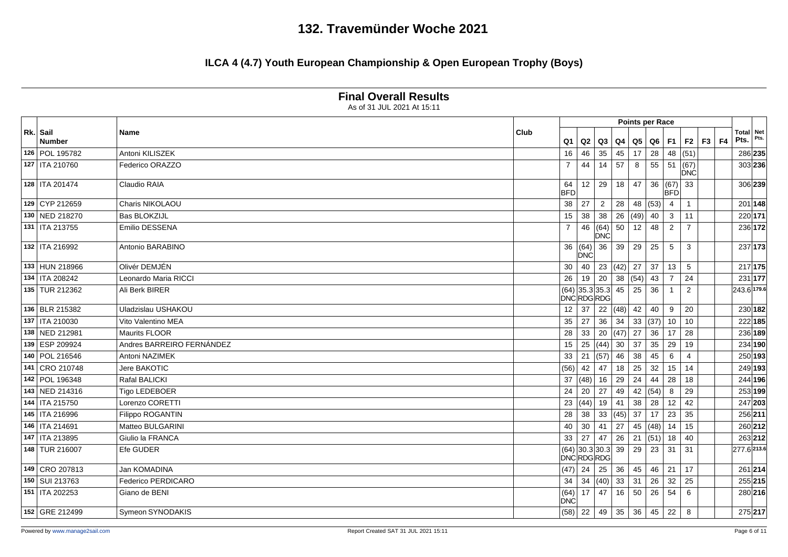### **ILCA 4 (4.7) Youth European Championship & Open European Trophy (Boys)**

|                           |                           |             |                    |                                 |                      |      |      | <b>Points per Race</b> |                    |                 |       |                          |         |
|---------------------------|---------------------------|-------------|--------------------|---------------------------------|----------------------|------|------|------------------------|--------------------|-----------------|-------|--------------------------|---------|
| Rk. Sail<br><b>Number</b> | <b>Name</b>               | <b>Club</b> | Q <sub>1</sub>     | $Q2$ $Q3$                       |                      | Q4   |      | Q5   Q6   F1           |                    | F <sub>2</sub>  | F3 F4 | <b>Total Net</b><br>Pts. | Pts.    |
| 126 POL 195782            | Antoni KILISZEK           |             | 16                 | 46                              | 35                   | 45   | 17   | 28                     | 48                 | (51)            |       |                          | 286 235 |
| 127   ITA 210760          | Federico ORAZZO           |             | $\overline{7}$     | 44                              | 14                   | 57   | 8    | 55   51                |                    | (67)<br>DNC     |       |                          | 303 236 |
| 128   ITA 201474          | Claudio RAIA              |             | 64<br><b>BFD</b>   | 12 <sup>1</sup>                 | 29                   | 18   | 47   | 36                     | (67)<br><b>BFD</b> | 33              |       |                          | 306 239 |
| 129 CYP 212659            | Charis NIKOLAOU           |             | 38                 | 27                              | 2                    | 28   |      | 48 $(53)$ 4            |                    | $\overline{1}$  |       |                          | 201 148 |
| 130 NED 218270            | <b>Bas BLOKZIJL</b>       |             | 15                 | 38                              | 38                   | 26   | (49) | $40 \mid 3$            |                    | 11              |       |                          | 220 171 |
| 131   ITA 213755          | Emilio DESSENA            |             | $\overline{7}$     |                                 | 46 (64)<br>DNC       | 50   | 12   | 48                     | $\overline{2}$     | $\overline{7}$  |       |                          | 236 172 |
| 132   ITA 216992          | Antonio BARABINO          |             |                    | 36   (64)   36<br><b>DNC</b>    |                      | 39   | 29   | 25                     | 5                  | 3               |       |                          | 237 173 |
| 133 HUN 218966            | Olivér DEMJÉN             |             | 30                 |                                 | 40   23 $ (42)$   27 |      |      | 37                     | 13                 | $5\phantom{.0}$ |       |                          | 217 175 |
| 134   ITA 208242          | Leonardo Maria RICCI      |             | 26                 | $19 \mid 20$                    |                      | 38   | (54) | 43                     | $\overline{7}$     | 24              |       |                          | 231 177 |
| 135 TUR 212362            | Ali Berk BIRER            |             |                    | $(64)$ 35.3 35.3<br>DNC RDG RDG |                      | 45   | 25   | 36                     | $\mathbf{1}$       | 2               |       | 243.6 179.6              |         |
| 136 BLR 215382            | Uladzislau USHAKOU        |             | 12                 | $37 \mid 22$                    |                      | (48) | 42   | 40                     | 9                  | 20              |       |                          | 230 182 |
| 137   ITA 210030          | Vito Valentino MEA        |             | 35                 | 27                              | 36                   | 34   |      | 33   (37)   10         |                    | 10              |       |                          | 222 185 |
| 138 NED 212981            | Maurits FLOOR             |             | 28                 | 33                              | 20                   | (47) | 27   | 36                     | -17                | 28              |       |                          | 236 189 |
| 139 ESP 209924            | Andres BARREIRO FERNÁNDEZ |             | 15                 | 25 (44)                         |                      | 30   | 37   | 35                     | 29                 | 19              |       |                          | 234 190 |
| 140 POL 216546            | Antoni NAZIMEK            |             | 33                 | 21   (57)                       |                      | 46   | 38   | 45                     | 6                  | $\overline{4}$  |       |                          | 250 193 |
| 141 CRO 210748            | Jere BAKOTIC              |             | (56)               | $42 \mid 47$                    |                      | 18   | 25   | 32                     | 15                 | 14              |       |                          | 249 193 |
| 142 POL 196348            | Rafal BALICKI             |             | 37                 | $(48)$ 16                       |                      | 29   | 24   | 44                     | 28                 | 18              |       |                          | 244 196 |
| 143 NED 214316            | Tigo LEDEBOER             |             | 24                 | 20                              | 27                   | 49   | 42   | (54)                   | - 8                | 29              |       |                          | 253 199 |
| 144   ITA 215750          | Lorenzo CORETTI           |             | 23                 | $(44)$ 19                       |                      | 41   | 38   | 28                     | 12                 | 42              |       |                          | 247 203 |
| 145   ITA 216996          | Filippo ROGANTIN          |             | 28                 | 38                              | 33                   | (45) | 37   | 17                     | 23                 | 35              |       |                          | 256 211 |
| 146   ITA 214691          | Matteo BULGARINI          |             | 40                 | 30                              | 41                   | 27   | 45   | $ (48) $ 14            |                    | 15              |       |                          | 260 212 |
| 147   ITA 213895          | Giulio la FRANCA          |             | 33                 | 27                              | 47                   | 26   |      | 21 $ (51) $ 18         |                    | 40              |       |                          | 263 212 |
| 148 TUR 216007            | Efe GUDER                 |             |                    | $(64)$ 30.3 30.3<br>DNCRDGRDG   |                      | 39   | 29   | 23                     | 31                 | 31              |       | 277.6 213.6              |         |
| 149 CRO 207813            | Jan KOMADINA              |             | (47)               | $24 \mid 25$                    |                      | 36   | 45   | $46$   21              |                    | 17              |       |                          | 261 214 |
| 150 SUI 213763            | Federico PERDICARO        |             | 34                 | 34   (40)                       |                      | 33   | 31   | 26                     | 32                 | 25              |       |                          | 255 215 |
| 151   ITA 202253          | Giano de BENI             |             | (64)<br><b>DNC</b> | 17                              | 47                   | 16   | 50   | 26                     | 54                 | 6               |       |                          | 280 216 |
| 152 GRE 212499            | Symeon SYNODAKIS          |             |                    | $(58)$ 22                       | 49                   | 35   | 36   | 45 22                  |                    | 8               |       |                          | 275 217 |

As of 31 JUL 2021 At 15:11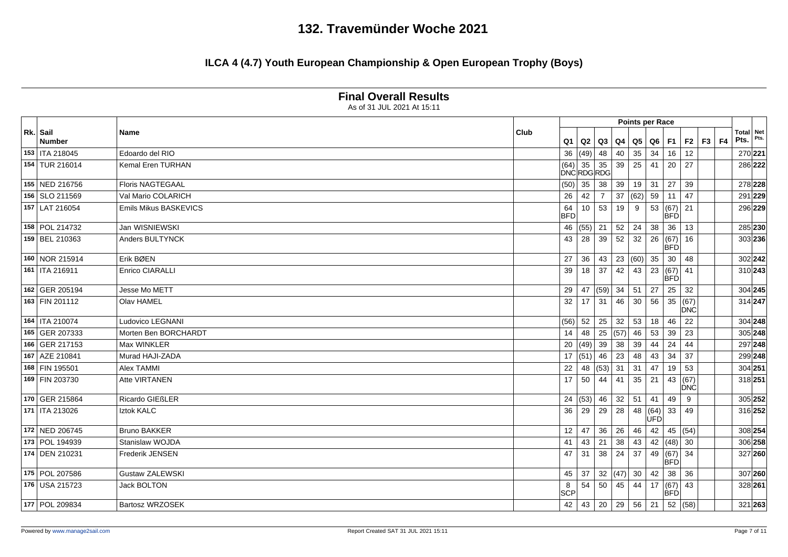|                           | As of 31 JUL 2021 At 15:11 |                             |                   |                |      |                        |       |                         |                    |           |                          |      |
|---------------------------|----------------------------|-----------------------------|-------------------|----------------|------|------------------------|-------|-------------------------|--------------------|-----------|--------------------------|------|
|                           |                            |                             |                   |                |      | <b>Points per Race</b> |       |                         |                    |           |                          |      |
| Rk. Sail<br><b>Number</b> | Name                       | Club<br>Q <sub>1</sub>      | Q2                | Q3             | Q4   | Q5                     |       | $Q6$ F1                 | F2                 | $F3$ $F4$ | <b>Total Net</b><br>Pts. | Pts. |
| 153   ITA 218045          | Edoardo del RIO            | 36                          | (49)              | 48             | 40   | 35                     | 34    | 16                      | 12                 |           | 270 221                  |      |
| 154 TUR 216014            | Kemal Eren TURHAN          | $(64)$ 35 35<br>DNC RDG RDG |                   |                | 39   | 25                     | 41    | 20                      | 27                 |           | 286 222                  |      |
| 155 NED 216756            | <b>Floris NAGTEGAAL</b>    | (50)                        | 35                | 38             | 39   | 19                     | 31    | 27                      | 39                 |           | 278 228                  |      |
| 156 SLO 211569            | Val Mario COLARICH         | 26                          | 42                | $\overline{7}$ | 37   | (62)                   |       | $59$ 11                 | 47                 |           | 291 229                  |      |
| 157 LAT 216054            | Emils Mikus BASKEVICS      | 64<br><b>BFD</b>            | 10                | 53             | 19   | 9                      |       | 53   (67)<br><b>BFD</b> | 21                 |           | 296 229                  |      |
| 158 POL 214732            | Jan WISNIEWSKI             | 46                          | $(55)$ 21         |                | 52   | 24                     |       | $38 \mid 36$            | 13                 |           | 285 230                  |      |
| 159 BEL 210363            | Anders BULTYNCK            | 43                          | 28                | 39             | 52   | 32                     | 26    | (67)<br><b>BFD</b>      | 16                 |           | 303 236                  |      |
| 160 NOR 215914            | Erik BØEN                  | 27                          | 36                | 43             | 23   | (60)                   | 35    | $ 30\rangle$            | 48                 |           | 302 242                  |      |
| 161   ITA 216911          | <b>Enrico CIARALLI</b>     | 39                          | 18                | 37             | 42   | 43                     |       | 23   (67)<br><b>BFD</b> | 41                 |           | 310 243                  |      |
| 162 GER 205194            | Jesse Mo METT              | 29                          |                   | 47 (59)        | 34   | 51                     | 27    | 25                      | 32                 |           | 304 245                  |      |
| 163 FIN 201112            | Olav HAMEL                 | 32                          | 17                | 31             | 46   | 30                     |       | 56 35                   | (67)<br><b>DNC</b> |           | 314 247                  |      |
| 164   ITA 210074          | <b>Ludovico LEGNANI</b>    | (56)                        | 52                | 25             | 32   | 53                     | 18    | 46                      | 22                 |           | 304 248                  |      |
| 165 GER 207333            | Morten Ben BORCHARDT       | 14                          | 48                | 25             | (57) | 46                     | 53    | 39                      | 23                 |           | 305 248                  |      |
| 166 GER 217153            | Max WINKLER                | 20                          | (49)              | 39             | 38   | 39                     | 44    | 24                      | 44                 |           | 297 248                  |      |
| 167 AZE 210841            | Murad HAJI-ZADA            | 17                          | (51)              | 46             | 23   | 48                     | 43    | 34                      | 37                 |           | 299 248                  |      |
| 168 FIN 195501            | <b>Alex TAMMI</b>          | 22                          |                   | 48 $(53)$ 31   |      | 31                     | 47    | 19                      | 53                 |           | 304 251                  |      |
| 169 FIN 203730            | Atte VIRTANEN              | 17                          | 50                | 44             | 41   | 35                     | 21    | 43                      | (67)<br><b>DNC</b> |           | 318 251                  |      |
| 170 GER 215864            | Ricardo GIEßLER            | 24                          | $(53)$ 46         |                | 32   | 51                     | 41    | 49                      | 9                  |           | 305 252                  |      |
| 171   ITA 213026          | Iztok KALC                 | 36                          | 29                | 29             | 28   |                        | lùFĎl | 48 $ (64)$ 33           | 49                 |           | 316 252                  |      |
| 172 NED 206745            | <b>Bruno BAKKER</b>        | 12                          | 47                | 36             | 26   | 46                     | 42    | 45                      | (54)               |           | 308 254                  |      |
| 173 POL 194939            | Stanislaw WOJDA            | 41                          | 43                | 21             | 38   | 43                     |       | 42 (48)                 | 30                 |           | 306 258                  |      |
| 174 DEN 210231            | Frederik JENSEN            | 47                          | 31                | 38             | 24   | 37                     | 49    | (67)<br><b>BFD</b>      | 34                 |           | 327 260                  |      |
| 175 POL 207586            | <b>Gustaw ZALEWSKI</b>     | 45                          | 37                | 32             | (47) | 30                     | 42    | 38                      | 36                 |           | 307 260                  |      |
| 176 USA 215723            | Jack BOLTON                | 8<br>SCP                    | 54                | 50             | 45   | 44                     |       | 17 (67)<br><b>BFD</b>   | 43                 |           | 328 261                  |      |
| 177 POL 209834            | <b>Bartosz WRZOSEK</b>     | 42                          | $43 \mid 20 \mid$ |                | 29   | 56                     | 21    |                         | 52(58)             |           | 321 263                  |      |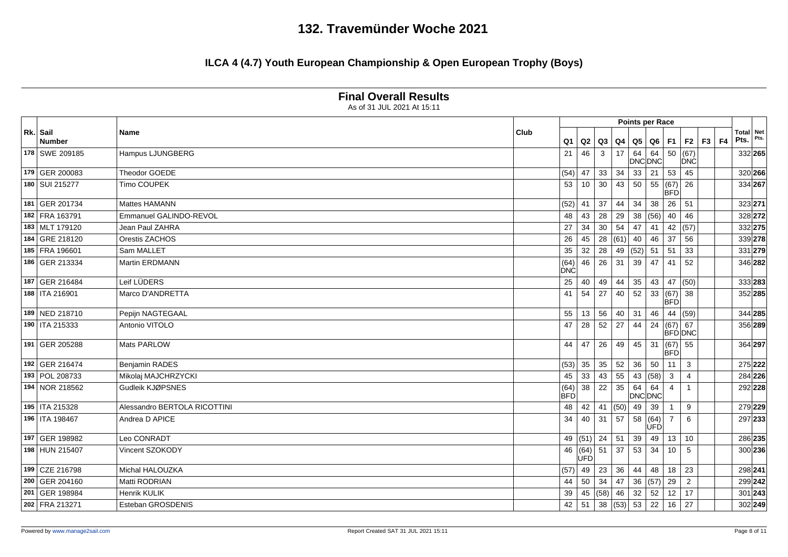|                    | As of 31 JUL 2021 At 15:11   |      |                    |      |                                |      |      |                        |                         |                      |  |                          |           |
|--------------------|------------------------------|------|--------------------|------|--------------------------------|------|------|------------------------|-------------------------|----------------------|--|--------------------------|-----------|
|                    |                              |      |                    |      |                                |      |      | Points per Race        |                         |                      |  |                          |           |
| Rk. Sail<br>Number | <b>Name</b>                  | Club | Q <sub>1</sub>     |      | Q2   Q3                        |      |      | Q4   Q5   Q6   F1      |                         | $F2 \mid F3 \mid F4$ |  | <b>Total</b> Net<br>Pts. |           |
| 178 SWE 209185     | Hampus LJUNGBERG             |      | 21                 | 46   | $\mathbf{3}$                   | 17   | 64   | 64<br>DNC DNC          | $\overline{50}$         | (67)<br><b>DNC</b>   |  | 332 265                  |           |
| 179 GER 200083     | Theodor GOEDE                |      | (54)               | 47   | 33                             | 34   | 33   | 21                     | 53                      | 45                   |  | 320 266                  |           |
| 180 SUI 215277     | Timo COUPEK                  |      | 53                 |      | $10 \mid 30$                   | 43   | 50   | 55   (67)              | <b>BFD</b>              | 26                   |  | 334 267                  |           |
| 181 GER 201734     | Mattes HAMANN                |      | (52)               |      | $41 \mid 37$                   | 44   | 34   | $38 \mid 26$           |                         | 51                   |  | 323 271                  |           |
| 182 FRA 163791     | Emmanuel GALINDO-REVOL       |      | 48                 | 43   | 28                             | 29   | 38   | $ (56) $ 40            |                         | 46                   |  | 328 272                  |           |
| 183 MLT 179120     | Jean Paul ZAHRA              |      | 27                 | 34   | 30                             | 54   | 47   | 41                     | 42                      | (57)                 |  | 332 275                  |           |
| 184 GRE 218120     | Orestis ZACHOS               |      | 26                 |      | $45 \mid 28$                   | (61) | 40   | 46                     | 37                      | 56                   |  | 339 278                  |           |
| 185 FRA 196601     | Sam MALLET                   |      | 35                 | 32   | 28                             | 49   | (52) | 51                     | 51                      | 33                   |  | 331 279                  |           |
| 186 GER 213334     | <b>Martin ERDMANN</b>        |      | (64)<br><b>DNC</b> | 46   | 26                             | 31   | 39   | 47                     | 41                      | 52                   |  | 346 282                  |           |
| 187 GER 216484     | Leif LÜDERS                  |      | 25                 | 40   | 49                             | 44   | 35   | 43                     | 47                      | (50)                 |  | 333 283                  |           |
| 188   ITA 216901   | Marco D'ANDRETTA             |      | 41                 | 54   | 27                             | 40   | 52   |                        | 33   (67)<br><b>BFD</b> | 38                   |  | 352 285                  |           |
| 189 NED 218710     | Pepijn NAGTEGAAL             |      | 55                 |      | 13 56                          | 40   | 31   | 46 44                  |                         | (59)                 |  | 344 285                  |           |
| 190   ITA 215333   | Antonio VITOLO               |      | 47                 | 28   | 52                             | 27   | 44   | 24                     | (67) 67                 | <b>BFD DNC</b>       |  | 356 289                  |           |
| 191 GER 205288     | Mats PARLOW                  |      | 44                 | 47   | 26                             | 49   | 45   | 31                     | (67)<br><b>BFD</b>      | 55                   |  | 364 297                  |           |
| 192 GER 216474     | <b>Benjamin RADES</b>        |      | (53)               | 35   | 35                             | 52   | 36   | 50                     | 11                      | 3                    |  | 275 222                  |           |
| 193 POL 208733     | Mikolaj MAJCHRZYCKI          |      | 45                 | 33   | $ 43\rangle$                   | 55   |      | 43 $(58)$ 3            |                         |                      |  | 284 226                  |           |
| 194 NOR 218562     | Gudleik KJØPSNES             |      | (64)<br><b>BFD</b> | 38   | 22                             | 35   | 64   | 64<br>DNC DNC          | $\overline{4}$          | $\overline{1}$       |  | 292 228                  |           |
| 195   ITA 215328   | Alessandro BERTOLA RICOTTINI |      | 48                 |      | $42 \mid 41$                   | (50) | 49   | 39                     | $\overline{1}$          | 9                    |  | 279 229                  |           |
| 196   ITA 198467   | Andrea D APICE               |      | 34                 | 40   | 31                             | 57   |      | 58   (64)   7<br>lùFĎl |                         | 6                    |  | 297 233                  |           |
| 197 GER 198982     | Leo CONRADT                  |      |                    |      | 49 $(51)$ 24                   | 51   | 39   | 49 13                  |                         | 10                   |  | 286 235                  |           |
| 198 HUN 215407     | Vincent SZOKODY              |      | 46                 | UFDl | $(64)$ 51                      | 37   | 53   | 34                     | 10                      | 5                    |  |                          | 300 236   |
| 199 CZE 216798     | Michal HALOUZKA              |      | (57)               |      | 49 23                          | 36   | 44   | 48 18                  |                         | 23                   |  | 298 241                  |           |
| 200 GER 204160     | Matti RODRIAN                |      | 44                 |      | $50 \mid 34$                   | 47   |      | 36  (57)   29          |                         | $\overline{2}$       |  | 299 242                  |           |
| 201 GER 198984     | Henrik KULIK                 |      | 39                 |      | 45   (58)                      | 46   | 32   | 52                     | $\vert$ 12              | 17                   |  |                          | $301$ 243 |
| 202 FRA 213271     | Esteban GROSDENIS            |      | 42                 |      | $51 \mid 38 \mid (53) \mid 53$ |      |      | 22                     | 16                      | 27                   |  |                          | 302 249   |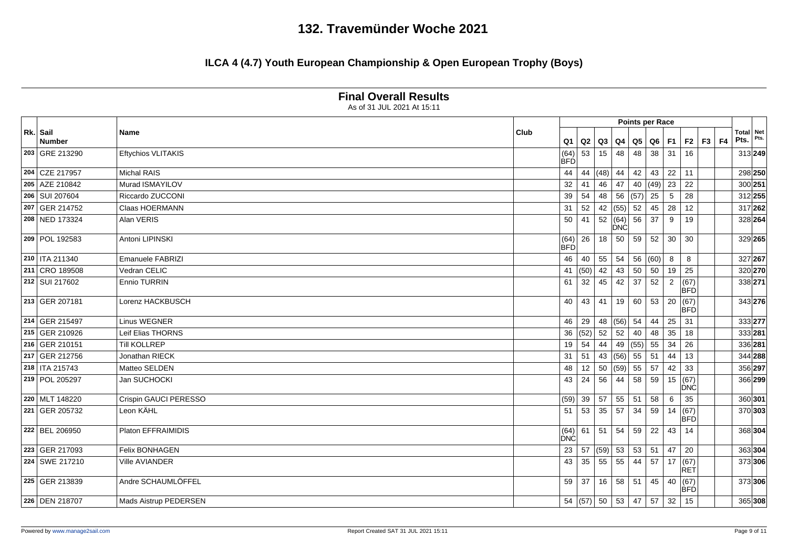|                    |                           |                        |      |              |                                     |      | <b>Points per Race</b> |                |                    |         |                          |      |
|--------------------|---------------------------|------------------------|------|--------------|-------------------------------------|------|------------------------|----------------|--------------------|---------|--------------------------|------|
| Rk. Sail<br>Number | Name                      | Club<br>Q <sub>1</sub> | Q2   | Q3           | Q <sub>4</sub>                      | Q5   | Q6                     | <b>F1</b>      | F <sub>2</sub>     | $F3$ F4 | <b>Total</b> Net<br>Pts. | Pts. |
| 203 GRE 213290     | <b>Eftychios VLITAKIS</b> | (64)<br><b>BFD</b>     | 53   | 15           | 48                                  | 48   | 38                     | $\vert$ 31     | 16                 |         | 313 249                  |      |
| 204 CZE 217957     | <b>Michal RAIS</b>        | 44                     |      | 44 (48)      | 44                                  | 42   | 43                     | 22             | 11                 |         | 298 250                  |      |
| 205 AZE 210842     | Murad ISMAYILOV           | 32                     | 41   | 46           | 47                                  | 40   | $(49)$ 23              |                | 22                 |         | 300 251                  |      |
| 206 SUI 207604     | Riccardo ZUCCONI          | 39                     | 54   | 48           | 56                                  | (57) | $\overline{25}$        | 5              | 28                 |         | 312 255                  |      |
| 207 GER 214752     | Claas HOERMANN            | 31                     | 52   | 42           | (55)                                | 52   | 45                     | 28             | 12                 |         | 317 262                  |      |
| 208 NED 173324     | Alan VERIS                | 50                     | 41   |              | $\overline{52}$ (64)<br><b>IDNC</b> | 56   | 37                     | 9              | 19                 |         | 328 264                  |      |
| 209 POL 192583     | Antoni LIPINSKI           | (64)<br><b>BFD</b>     | 26   | 18           | 50                                  | 59   | 52                     | 30             | 30                 |         | 329 265                  |      |
| 210   ITA 211340   | Emanuele FABRIZI          | 46                     |      | $40 \mid 55$ | 54                                  |      | 56   (60)              | 8              | 8                  |         | 327 267                  |      |
| 211 CRO 189508     | Vedran CELIC              | 41                     | (50) | 42           | 43                                  | 50   | 50                     | 19             | 25                 |         | 320 270                  |      |
| 212 SUI 217602     | Ennio TURRIN              | 61                     | 32   | 45           | 42                                  | 37   | 52                     | $\overline{2}$ | (67)<br><b>BFD</b> |         | 338 271                  |      |
| 213 GER 207181     | Lorenz HACKBUSCH          | 40                     | 43   | 41           | 19                                  | 60   | 53                     | 20             | (67)<br><b>BFD</b> |         | 343 276                  |      |
| 214 GER 215497     | <b>Linus WEGNER</b>       | 46                     | 29   |              | 48   (56)                           | 54   | 44                     | 25             | 31                 |         | 333 277                  |      |
| 215 GER 210926     | Leif Elias THORNS         | 36                     |      | (52) 52      | 52                                  | 40   | 48                     | 35             | 18                 |         | 333 281                  |      |
| 216 GER 210151     | <b>Till KOLLREP</b>       | 19                     | 54   | 44           | 49                                  | (55) | 55                     | 34             | 26                 |         | 336 281                  |      |
| 217 GER 212756     | Jonathan RIECK            | 31                     | 51   | 43           | (56)                                | 55   | 51                     | 44             | 13                 |         | 344 288                  |      |
| 218   ITA 215743   | Matteo SELDEN             | 48                     | 12   | 50           | (59)                                | 55   | 57                     | 42             | 33                 |         | 356 297                  |      |
| 219 POL 205297     | Jan SUCHOCKI              | 43                     | 24   | 56           | 44                                  | 58   | 59                     | 15             | (67)<br><b>DNC</b> |         | 366 299                  |      |
| 220 MLT 148220     | Crispin GAUCI PERESSO     | (59)                   | 39   | 57           | 55                                  | 51   | 58                     | 6              | 35                 |         | 360 301                  |      |
| 221 GER 205732     | Leon KÄHL                 | 51                     | 53   | 35           | 57                                  | 34   | 59                     | 14             | (67)<br>BFD        |         | 370 303                  |      |
| 222 BEL 206950     | Platon EFFRAIMIDIS        | (64)<br>DNC            |      | $61$ 51      | 54                                  | 59   | 22                     | 43             | 14                 |         | 368 304                  |      |
| 223 GER 217093     | <b>Felix BONHAGEN</b>     | 23                     |      | 57   (59)    | 53                                  | 53   | 51                     | 47             | 20                 |         | 363 304                  |      |
| 224 SWE 217210     | <b>Ville AVIANDER</b>     | 43                     | 35   | 55           | 55                                  | 44   | 57                     | 17             | (67)<br>RET        |         | 373 306                  |      |
| 225 GER 213839     | Andre SCHAUMLÖFFEL        | 59                     | 37   | 16           | 58                                  | 51   | 45                     | 40             | (67)<br><b>BFD</b> |         | 373 306                  |      |
| 226 DEN 218707     | Mads Aistrup PEDERSEN     |                        |      |              | 54  (57)   50   53                  | 47   | 57                     | 32             | 15                 |         | 365 308                  |      |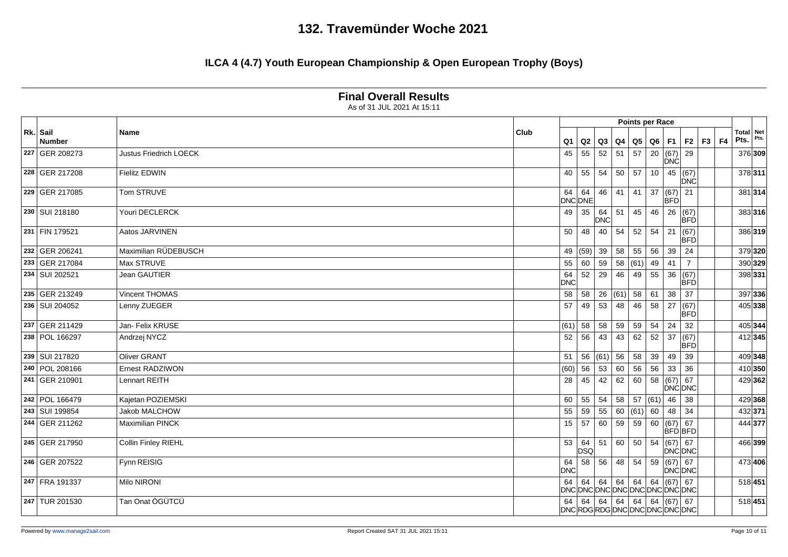### **ILCA 4 (4.7) Youth European Championship & Open European Trophy (Boys)**

**Final Overall Results**

|                    | As of 31 JUL 2021 At 15:11 |      |                  |               |                   |                 |                                   |            |                         |                                                                       |         |                   |         |
|--------------------|----------------------------|------|------------------|---------------|-------------------|-----------------|-----------------------------------|------------|-------------------------|-----------------------------------------------------------------------|---------|-------------------|---------|
|                    |                            |      |                  |               |                   |                 | Points per Race                   |            |                         |                                                                       |         |                   |         |
| Rk. Sail<br>Number | <b>Name</b>                | Club | Q <sub>1</sub>   | Q2            | Q3                | Q4              | $\overline{\mathsf{Q}}\mathsf{5}$ |            | $Q6$ F1                 | F2                                                                    | $F3$ F4 | Total Net<br>Pts. | Pts.    |
| 227 GER 208273     | Justus Friedrich LOECK     |      | 45               | 55            | 52                | 51              | 57                                |            | 20   (67)<br><b>DNC</b> | 29                                                                    |         |                   | 376 309 |
| 228 GER 217208     | <b>Fielitz EDWIN</b>       |      | 40               | 55            | 54                | 50              | 57                                | 10         | 45                      | (67)<br><b>DNC</b>                                                    |         |                   | 378 311 |
| 229 GER 217085     | Tom STRUVE                 |      | 64               | 64<br>DNC DNE | 46                | 41              | 41                                | 37         | (67)<br><b>BFD</b>      | 21                                                                    |         |                   | 381 314 |
| 230 SUI 218180     | Youri DECLERCK             |      | 49               | 35            | 64<br>DNC         | $\overline{51}$ | 45                                | 46         | 26                      | (67)<br>BFD                                                           |         |                   | 383 316 |
| 231 FIN 179521     | Aatos JARVINEN             |      | 50               | 48            | 40                | 54              | 52                                | 54         | $\overline{21}$         | (67)<br>BFD                                                           |         |                   | 386 319 |
| 232 GER 206241     | Maximilian RÜDEBUSCH       |      | 49               |               | $(59)$ 39         | 58              | 55                                | 56         | 39                      | 24                                                                    |         |                   | 379 320 |
| 233 GER 217084     | Max STRUVE                 |      | 55               | 60            | 59                | 58              | (61)                              | 49         | 41                      | $\overline{7}$                                                        |         | 390 329           |         |
| 234 SUI 202521     | Jean GAUTIER               |      | 64<br><b>DNC</b> | 52            | 29                | 46              | 49                                | 55         | 36                      | (67)<br>BFD                                                           |         | 398 331           |         |
| 235 GER 213249     | Vincent THOMAS             |      | 58               |               | $58 \mid 26$      | (61)            | 58                                | 61         | 38                      | 37                                                                    |         |                   | 397 336 |
| 236 SUI 204052     | Lenny ZUEGER               |      | 57               | 49            | 53                | 48              | 46                                | 58         | $\vert$ 27              | (67)<br><b>BFD</b>                                                    |         |                   | 405 338 |
| 237 GER 211429     | Jan- Felix KRUSE           |      | (61)             | 58            | 58                | 59              | 59                                | 54         | 24                      | 32                                                                    |         | 405 344           |         |
| 238 POL 166297     | Andrzej NYCZ               |      | 52               | 56            | 43                | 43              | 62                                |            | $52 \mid 37$            | (67)<br>BFD                                                           |         |                   | 412 345 |
| 239 SUI 217820     | <b>Oliver GRANT</b>        |      | 51               |               | 56   (61)         | 56              | 58                                | 39         | 49                      | 39                                                                    |         | 409 348           |         |
| 240 POL 208166     | <b>Ernest RADZIWON</b>     |      | (60)             | 56            | 53                | 60              | 56                                | 56         | 33                      | 36                                                                    |         |                   | 410 350 |
| 241 GER 210901     | Lennart REITH              |      | 28               | 45            | 42                | 62              | 60                                | 58         | (67)                    | 67<br>DNC DNC                                                         |         |                   | 429 362 |
| 242 POL 166479     | Kajetan POZIEMSKI          |      | 60               | 55            | 54                | 58              |                                   | 57 (61) 46 |                         | 38                                                                    |         | 429 368           |         |
| 243 SUI 199854     | Jakob MALCHOW              |      | 55               | 59            | 55                | 60              | (61)                              | 60         | 48                      | 34                                                                    |         | 432 371           |         |
| 244 GER 211262     | <b>Maximilian PINCK</b>    |      | 15               | 57            | 60                | 59              | 59                                | 60         | (67)                    | 67<br>BFD BFD                                                         |         | 444 377           |         |
| 245 GER 217950     | Collin Finley RIEHL        |      | 53               | 64<br>DSQ     | 51                | 60              | 50                                | 54         | $(67)$ 67               | DNC DNC                                                               |         |                   | 466 399 |
| 246 GER 207522     | Fynn REISIG                |      | 64<br><b>DNC</b> | 58            | 56                | 48              | 54                                | 59         | (67) 67                 | <b>DNC DNC</b>                                                        |         |                   | 473 406 |
| 247 FRA 191337     | Milo NIRONI                |      |                  |               |                   |                 |                                   |            | (67) 67                 | 64   64   64   64   64   65   67   67<br> DNC DNC DNC DNC DNC DNC DNC |         | 518 451           |         |
| 247 TUR 201530     | Tan Onat ÖGÜTCÜ            |      | 64               |               | $64 \mid 64 \mid$ |                 | $64 \mid 64 \mid$                 |            | 64   (67)   67          | DNCRDGRDGDNCDNCDNCDNCDNCD                                             |         | 518 451           |         |